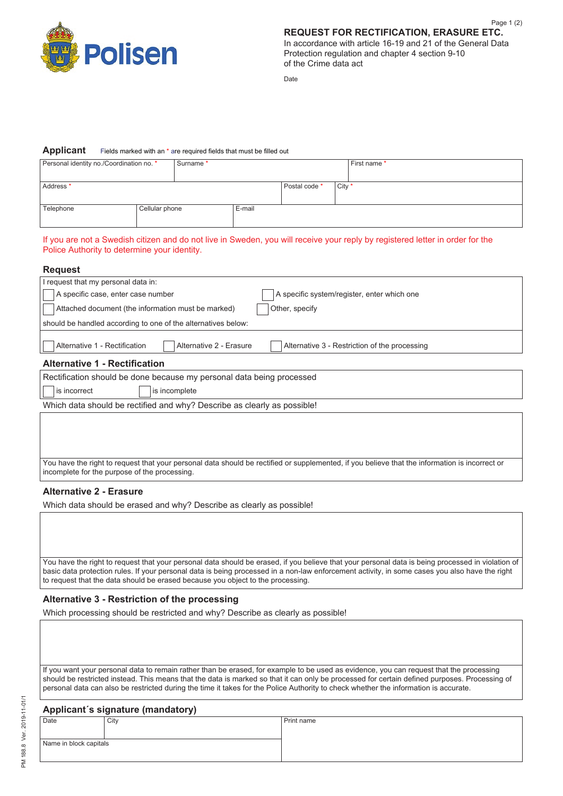

Date

## **Applicant** Fields marked with an \* are required fields that must be filled out

| Personal identity no./Coordination no. * |                | Surname * |        |               | First name * |  |  |
|------------------------------------------|----------------|-----------|--------|---------------|--------------|--|--|
|                                          |                |           |        |               |              |  |  |
| Address <sup>*</sup>                     |                |           |        | Postal code * | City *       |  |  |
|                                          |                |           |        |               |              |  |  |
| Telephone                                | Cellular phone |           | E-mail |               |              |  |  |
|                                          |                |           |        |               |              |  |  |

## If you are not a Swedish citizen and do not live in Sweden, you will receive your reply by registered letter in order for the Police Authority to determine your identity.

You have the right to request that your personal data should be rectified or supplemented, if you believe that the information is incorrect or incomplete for the purpose of the processing.

## **Alternative 2 - Erasure**

Which data should be erased and why? Describe as clearly as possible!

You have the right to request that your personal data should be erased, if you believe that your personal data is being processed in violation of basic data protection rules. If your personal data is being processed in a non-law enforcement activity, in some cases you also have the right to request that the data should be erased because you object to the processing.

## **Alternative 3 - Restriction of the processing**

Which processing should be restricted and why? Describe as clearly as possible!

If you want your personal data to remain rather than be erased, for example to be used as evidence, you can request that the processing should be restricted instead. This means that the data is marked so that it can only be processed for certain defined purposes. Processing of personal data can also be restricted during the time it takes for the Police Authority to check whether the information is accurate.

| Applicant's signature (mandatory) |      |            |  |  |  |  |
|-----------------------------------|------|------------|--|--|--|--|
| Date                              | City | Print name |  |  |  |  |
|                                   |      |            |  |  |  |  |
| Name in block capitals            |      |            |  |  |  |  |
|                                   |      |            |  |  |  |  |